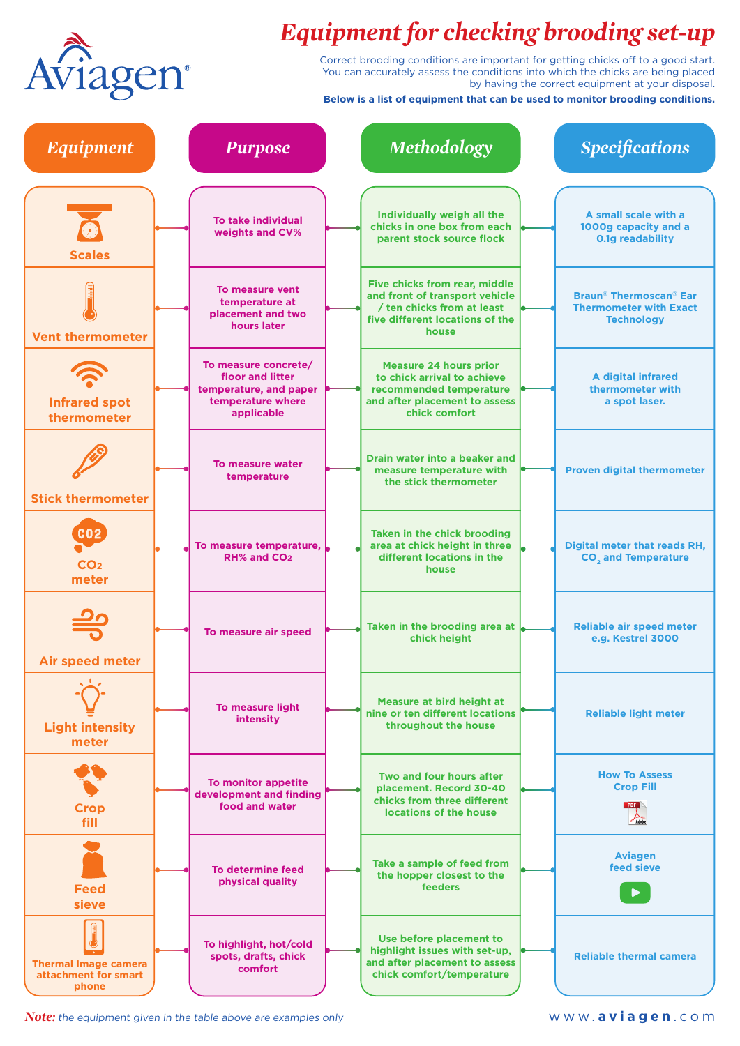

## *Equipment for checking brooding set-up*

Correct brooding conditions are important for getting chicks off to a good start. You can accurately assess the conditions into which the chicks are being placed by having the correct equipment at your disposal.

**Below is a list of equipment that can be used to monitor brooding conditions.**

| <b>Equipment</b>                                             | <b>Purpose</b>                                                                                        | Methodology                                                                                                                                      | <b>Specifications</b>                                                                                     |
|--------------------------------------------------------------|-------------------------------------------------------------------------------------------------------|--------------------------------------------------------------------------------------------------------------------------------------------------|-----------------------------------------------------------------------------------------------------------|
| <b>Scales</b>                                                | <b>To take individual</b><br>weights and CV%                                                          | Individually weigh all the<br>chicks in one box from each<br>parent stock source flock                                                           | A small scale with a<br>1000g capacity and a<br><b>0.1g readability</b>                                   |
| <b>Vent thermometer</b>                                      | To measure vent<br>temperature at<br>placement and two<br>hours later                                 | <b>Five chicks from rear, middle</b><br>and front of transport vehicle<br>/ ten chicks from at least<br>five different locations of the<br>house | <b>Braun<sup>®</sup> Thermoscan<sup>®</sup> Ear</b><br><b>Thermometer with Exact</b><br><b>Technology</b> |
| <b>Infrared spot</b><br>thermometer                          | To measure concrete/<br>floor and litter<br>temperature, and paper<br>temperature where<br>applicable | <b>Measure 24 hours prior</b><br>to chick arrival to achieve<br>recommended temperature<br>and after placement to assess<br>chick comfort        | <b>A digital infrared</b><br>thermometer with<br>a spot laser.                                            |
| <b>Stick thermometer</b>                                     | To measure water<br>temperature                                                                       | Drain water into a beaker and<br>measure temperature with<br>the stick thermometer                                                               | <b>Proven digital thermometer</b>                                                                         |
| $\overline{\text{c}}$ 02<br>CO <sub>2</sub><br>meter         | To measure temperature,<br>RH% and CO <sub>2</sub>                                                    | Taken in the chick brooding<br>area at chick height in three<br>different locations in the<br>house                                              | Digital meter that reads RH,<br><b>CO<sub>2</sub></b> and Temperature                                     |
| <b>Air speed meter</b>                                       | To measure air speed                                                                                  | Taken in the brooding area at<br>chick height                                                                                                    | <b>Reliable air speed meter</b><br>e.g. Kestrel 3000                                                      |
| <b>Light intensity</b><br>meter                              | To measure light<br><b>intensity</b>                                                                  | Measure at bird height at<br>nine or ten different locations<br>throughout the house                                                             | <b>Reliable light meter</b>                                                                               |
| <b>Crop</b><br>fill                                          | To monitor appetite<br>development and finding<br>food and water                                      | Two and four hours after<br>placement. Record 30-40<br>chicks from three different<br>locations of the house                                     | <b>How To Assess</b><br><b>Crop Fill</b><br><b>PDF</b><br>Adobe                                           |
| <b>Feed</b><br>sieve                                         | To determine feed<br>physical quality                                                                 | Take a sample of feed from<br>the hopper closest to the<br><b>feeders</b>                                                                        | <b>Aviagen</b><br>feed sieve                                                                              |
| <b>Thermal Image camera</b><br>attachment for smart<br>phone | To highlight, hot/cold<br>spots, drafts, chick<br>comfort                                             | Use before placement to<br>highlight issues with set-up,<br>and after placement to assess<br>chick comfort/temperature                           | <b>Reliable thermal camera</b>                                                                            |